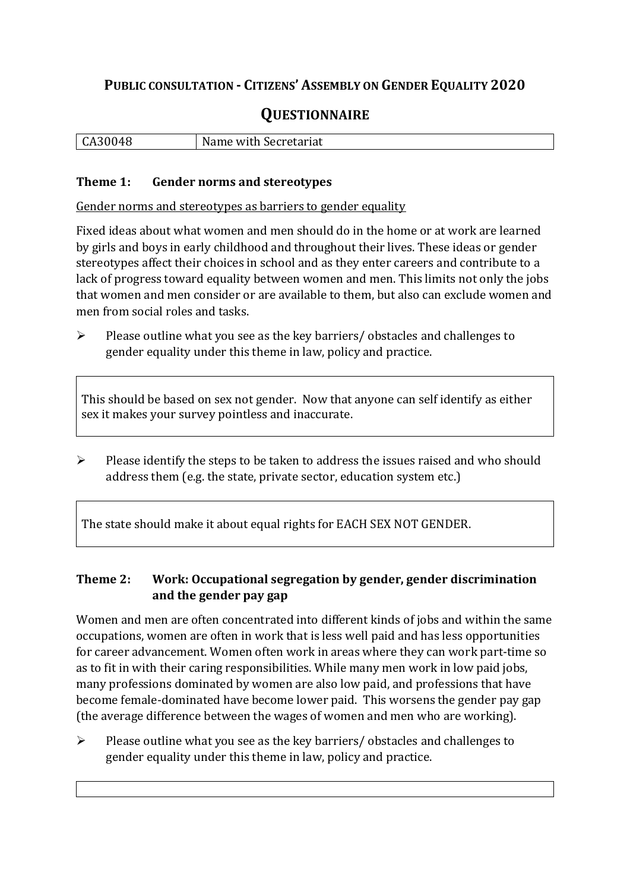## **PUBLIC CONSULTATION - CITIZENS' ASSEMBLY ON GENDER EQUALITY 2020**

# **QUESTIONNAIRE**

| $\mathbf{v}$ | with Secretariat |
|--------------|------------------|
| <b>UA30</b>  | Name             |
|              |                  |

#### **Theme 1: Gender norms and stereotypes**

Gender norms and stereotypes as barriers to gender equality

Fixed ideas about what women and men should do in the home or at work are learned by girls and boys in early childhood and throughout their lives. These ideas or gender stereotypes affect their choices in school and as they enter careers and contribute to a lack of progress toward equality between women and men. This limits not only the jobs that women and men consider or are available to them, but also can exclude women and men from social roles and tasks.

➢ Please outline what you see as the key barriers/ obstacles and challenges to gender equality under this theme in law, policy and practice.

This should be based on sex not gender. Now that anyone can self identify as either sex it makes your survey pointless and inaccurate.

 $\triangleright$  Please identify the steps to be taken to address the issues raised and who should address them (e.g. the state, private sector, education system etc.)

The state should make it about equal rights for EACH SEX NOT GENDER.

#### **Theme 2: Work: Occupational segregation by gender, gender discrimination and the gender pay gap**

Women and men are often concentrated into different kinds of jobs and within the same occupations, women are often in work that is less well paid and has less opportunities for career advancement. Women often work in areas where they can work part-time so as to fit in with their caring responsibilities. While many men work in low paid jobs, many professions dominated by women are also low paid, and professions that have become female-dominated have become lower paid. This worsens the gender pay gap (the average difference between the wages of women and men who are working).

➢ Please outline what you see as the key barriers/ obstacles and challenges to gender equality under this theme in law, policy and practice.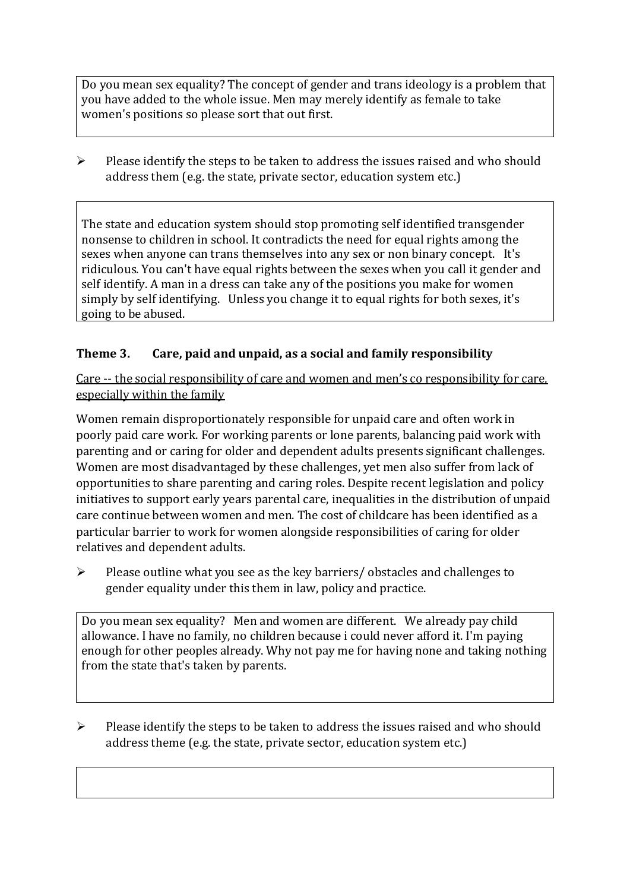Do you mean sex equality? The concept of gender and trans ideology is a problem that you have added to the whole issue. Men may merely identify as female to take women's positions so please sort that out first.

 $\triangleright$  Please identify the steps to be taken to address the issues raised and who should address them (e.g. the state, private sector, education system etc.)

The state and education system should stop promoting self identified transgender nonsense to children in school. It contradicts the need for equal rights among the sexes when anyone can trans themselves into any sex or non binary concept. It's ridiculous. You can't have equal rights between the sexes when you call it gender and self identify. A man in a dress can take any of the positions you make for women simply by self identifying. Unless you change it to equal rights for both sexes, it's going to be abused.

#### **Theme 3. Care, paid and unpaid, as a social and family responsibility**

Care -- the social responsibility of care and women and men's co responsibility for care, especially within the family

Women remain disproportionately responsible for unpaid care and often work in poorly paid care work. For working parents or [lone parents,](https://aran.library.nuigalway.ie/bitstream/handle/10379/6044/Millar_and_Crosse_Activation_Report.pdf?sequence=1&isAllowed=y) balancing paid work with parenting and or caring for older and dependent adults presents significant challenges. Women are [most disadvantaged by these challenges,](https://eige.europa.eu/gender-equality-index/game/IE/W) yet men also suffer from lack of opportunities to share parenting and caring roles. Despite recent legislation and policy initiatives to support early years parental care, [inequalities in the distribution of unpaid](https://www.ihrec.ie/app/uploads/2019/07/Caring-and-Unpaid-Work-in-Ireland_Final.pdf)  [care](https://www.ihrec.ie/app/uploads/2019/07/Caring-and-Unpaid-Work-in-Ireland_Final.pdf) continue between women and men. The cost of childcare has been identified as a particular barrier to work for women alongside responsibilities of caring for older relatives and dependent adults.

➢ Please outline what you see as the key barriers/ obstacles and challenges to gender equality under this them in law, policy and practice.

Do you mean sex equality? Men and women are different. We already pay child allowance. I have no family, no children because i could never afford it. I'm paying enough for other peoples already. Why not pay me for having none and taking nothing from the state that's taken by parents.

➢ Please identify the steps to be taken to address the issues raised and who should address theme (e.g. the state, private sector, education system etc.)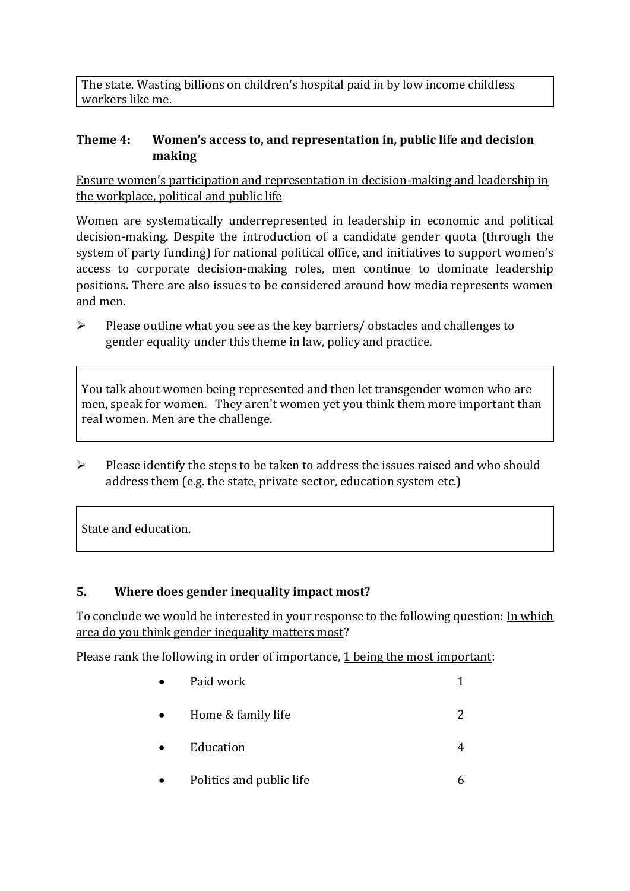The state. Wasting billions on children's hospital paid in by low income childless workers like me.

#### **Theme 4: Women's access to, and representation in, public life and decision making**

Ensure women's participation and representation in decision-making and leadership in the workplace, political and public life

Women are systematically underrepresented in leadership in [economic](https://eige.europa.eu/gender-equality-index/2019/compare-countries/power/2/bar) and [political](https://eige.europa.eu/gender-equality-index/2019/compare-countries/power/1/bar)  [decision-](https://eige.europa.eu/gender-equality-index/2019/compare-countries/power/1/bar)making. Despite the introduction of a candidate gender quota (through the system of party funding) for national political office, and [initiatives](https://betterbalance.ie/) to support women's access to corporate decision-making roles, men continue to dominate leadership positions. There are also issues to be considered around how media represents women and men.

➢ Please outline what you see as the key barriers/ obstacles and challenges to gender equality under this theme in law, policy and practice.

You talk about women being represented and then let transgender women who are men, speak for women. They aren't women yet you think them more important than real women. Men are the challenge.

➢ Please identify the steps to be taken to address the issues raised and who should address them (e.g. the state, private sector, education system etc.)

State and education.

### **5. Where does gender inequality impact most?**

To conclude we would be interested in your response to the following question: In which area do you think gender inequality matters most?

Please rank the following in order of importance, 1 being the most important:

| Paid work                |  |
|--------------------------|--|
| Home & family life       |  |
| Education                |  |
| Politics and public life |  |